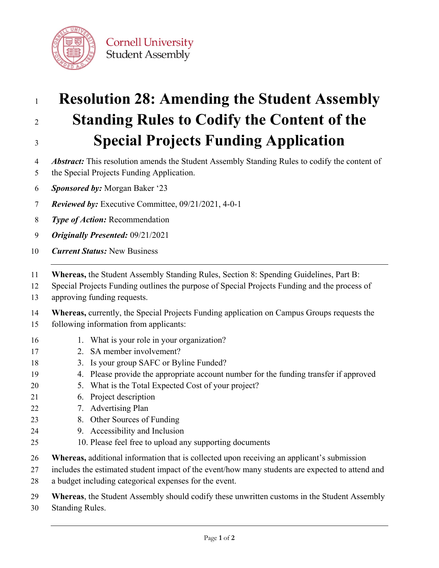

- 
- 

## **Resolution 28: Amending the Student Assembly Standing Rules to Codify the Content of the Special Projects Funding Application**

- 4 *Abstract:* This resolution amends the Student Assembly Standing Rules to codify the content of
- 5 the Special Projects Funding Application.
- *Sponsored by:* Morgan Baker '23
- *Reviewed by:* Executive Committee, 09/21/2021, 4-0-1
- *Type of Action:* Recommendation
- *Originally Presented:* 09/21/2021
- *Current Status:* New Business
- **Whereas,** the Student Assembly Standing Rules, Section 8: Spending Guidelines, Part B:
- Special Projects Funding outlines the purpose of Special Projects Funding and the process of
- approving funding requests.
- **Whereas,** currently, the Special Projects Funding application on Campus Groups requests the
- following information from applicants:
- 16 1. What is your role in your organization?
- 2. SA member involvement?
- 3. Is your group SAFC or Byline Funded?
- 4. Please provide the appropriate account number for the funding transfer if approved
- 5. What is the Total Expected Cost of your project?
- 6. Project description
- 7. Advertising Plan
- 8. Other Sources of Funding
- 9. Accessibility and Inclusion
- 10. Please feel free to upload any supporting documents
- **Whereas,** additional information that is collected upon receiving an applicant's submission
- includes the estimated student impact of the event/how many students are expected to attend and
- a budget including categorical expenses for the event.
- **Whereas**, the Student Assembly should codify these unwritten customs in the Student Assembly
- Standing Rules.